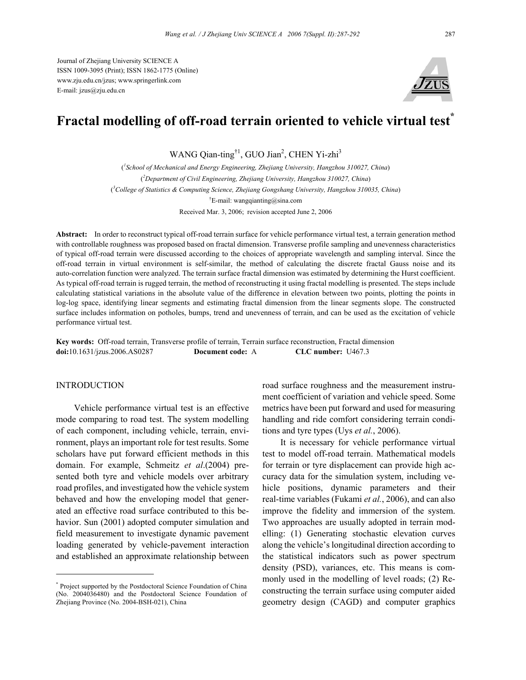

# **Fractal modelling of off-road terrain oriented to vehicle virtual test\***

WANG Qian-ting<sup>†1</sup>, GUO Jian<sup>2</sup>, CHEN Yi-zhi<sup>3</sup>

( *1 School of Mechanical and Energy Engineering, Zhejiang University, Hangzhou 310027, China*) ( *2 Department of Civil Engineering, Zhejiang University, Hangzhou 310027, China*) ( *3 College of Statistics & Computing Science, Zhejiang Gongshang University, Hangzhou 310035, China*) <sup>†</sup>E-mail: wangqianting@sina.com Received Mar. 3, 2006; revision accepted June 2, 2006

**Abstract:** In order to reconstruct typical off-road terrain surface for vehicle performance virtual test, a terrain generation method with controllable roughness was proposed based on fractal dimension. Transverse profile sampling and unevenness characteristics of typical off-road terrain were discussed according to the choices of appropriate wavelength and sampling interval. Since the off-road terrain in virtual environment is self-similar, the method of calculating the discrete fractal Gauss noise and its auto-correlation function were analyzed. The terrain surface fractal dimension was estimated by determining the Hurst coefficient. As typical off-road terrain is rugged terrain, the method of reconstructing it using fractal modelling is presented. The steps include calculating statistical variations in the absolute value of the difference in elevation between two points, plotting the points in log-log space, identifying linear segments and estimating fractal dimension from the linear segments slope. The constructed surface includes information on potholes, bumps, trend and unevenness of terrain, and can be used as the excitation of vehicle performance virtual test.

**Key words:** Off-road terrain, Transverse profile of terrain, Terrain surface reconstruction, Fractal dimension **doi:**10.1631/jzus.2006.AS0287 **Document code:** A **CLC number:** U467.3

#### INTRODUCTION

Vehicle performance virtual test is an effective mode comparing to road test. The system modelling of each component, including vehicle, terrain, environment, plays an important role for test results. Some scholars have put forward efficient methods in this domain. For example, Schmeitz *et al*.(2004) presented both tyre and vehicle models over arbitrary road profiles, and investigated how the vehicle system behaved and how the enveloping model that generated an effective road surface contributed to this behavior. Sun (2001) adopted computer simulation and field measurement to investigate dynamic pavement loading generated by vehicle-pavement interaction and established an approximate relationship between

\* Project supported by the Postdoctoral Science Foundation of China (No. 2004036480) and the Postdoctoral Science Foundation of Zhejiang Province (No. 2004-BSH-021), China

road surface roughness and the measurement instrument coefficient of variation and vehicle speed. Some metrics have been put forward and used for measuring handling and ride comfort considering terrain conditions and tyre types (Uys *et al.*, 2006).

It is necessary for vehicle performance virtual test to model off-road terrain. Mathematical models for terrain or tyre displacement can provide high accuracy data for the simulation system, including vehicle positions, dynamic parameters and their real-time variables (Fukami *et al.*, 2006), and can also improve the fidelity and immersion of the system. Two approaches are usually adopted in terrain modelling: (1) Generating stochastic elevation curves along the vehicle's longitudinal direction according to the statistical indicators such as power spectrum density (PSD), variances, etc. This means is commonly used in the modelling of level roads; (2) Reconstructing the terrain surface using computer aided geometry design (CAGD) and computer graphics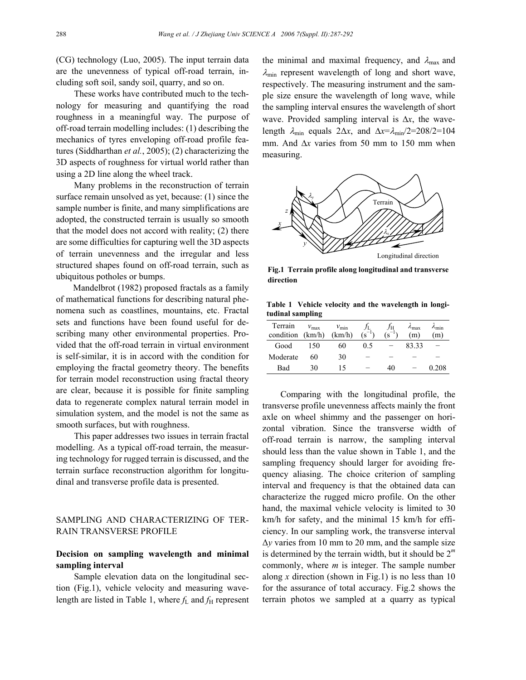(CG) technology (Luo, 2005). The input terrain data are the unevenness of typical off-road terrain, including soft soil, sandy soil, quarry, and so on.

These works have contributed much to the technology for measuring and quantifying the road roughness in a meaningful way. The purpose of off-road terrain modelling includes: (1) describing the mechanics of tyres enveloping off-road profile features (Siddharthan *et al.*, 2005); (2) characterizing the 3D aspects of roughness for virtual world rather than using a 2D line along the wheel track.

Many problems in the reconstruction of terrain surface remain unsolved as yet, because: (1) since the sample number is finite, and many simplifications are adopted, the constructed terrain is usually so smooth that the model does not accord with reality; (2) there are some difficulties for capturing well the 3D aspects of terrain unevenness and the irregular and less structured shapes found on off-road terrain, such as ubiquitous potholes or bumps.

Mandelbrot (1982) proposed fractals as a family of mathematical functions for describing natural phenomena such as coastlines, mountains, etc. Fractal sets and functions have been found useful for describing many other environmental properties. Provided that the off-road terrain in virtual environment is self-similar, it is in accord with the condition for employing the fractal geometry theory. The benefits for terrain model reconstruction using fractal theory are clear, because it is possible for finite sampling data to regenerate complex natural terrain model in simulation system, and the model is not the same as smooth surfaces, but with roughness.

This paper addresses two issues in terrain fractal modelling. As a typical off-road terrain, the measuring technology for rugged terrain is discussed, and the terrain surface reconstruction algorithm for longitudinal and transverse profile data is presented.

## SAMPLING AND CHARACTERIZING OF TER-RAIN TRANSVERSE PROFILE

## **Decision on sampling wavelength and minimal sampling interval**

Sample elevation data on the longitudinal section (Fig.1), vehicle velocity and measuring wavelength are listed in Table 1, where  $f_L$  and  $f_H$  represent the minimal and maximal frequency, and  $\lambda_{\text{max}}$  and  $\lambda_{\min}$  represent wavelength of long and short wave, respectively. The measuring instrument and the sample size ensure the wavelength of long wave, while the sampling interval ensures the wavelength of short wave. Provided sampling interval is ∆*x*, the wavelength  $\lambda_{\min}$  equals  $2\Delta x$ , and  $\Delta x = \lambda_{\min}/2 = 208/2 = 104$ mm. And ∆*x* varies from 50 mm to 150 mm when measuring.



**Fig.1 Terrain profile along longitudinal and transverse direction** 

**Table 1 Vehicle velocity and the wavelength in longitudinal sampling** 

| Terrain<br>condition | $v_{\text{max}}$<br>(km/h) | $v_{\rm min}$<br>(km/h) | (S. | Jн<br>٠S | $\lambda_{\text{max}}$<br>(m) | ∕min<br>m) |
|----------------------|----------------------------|-------------------------|-----|----------|-------------------------------|------------|
| Good                 | 150                        | 60                      | 0.5 |          | 83.33                         |            |
| Moderate             | 60                         | 30                      |     |          |                               |            |
| Bad                  | 30                         |                         |     | 40       |                               | 0.208      |

Comparing with the longitudinal profile, the transverse profile unevenness affects mainly the front axle on wheel shimmy and the passenger on horizontal vibration. Since the transverse width of off-road terrain is narrow, the sampling interval should less than the value shown in Table 1, and the sampling frequency should larger for avoiding frequency aliasing. The choice criterion of sampling interval and frequency is that the obtained data can characterize the rugged micro profile. On the other hand, the maximal vehicle velocity is limited to 30 km/h for safety, and the minimal 15 km/h for efficiency. In our sampling work, the transverse interval ∆*y* varies from 10 mm to 20 mm, and the sample size is determined by the terrain width, but it should be  $2^m$ commonly, where *m* is integer. The sample number along *x* direction (shown in Fig.1) is no less than 10 for the assurance of total accuracy. Fig.2 shows the terrain photos we sampled at a quarry as typical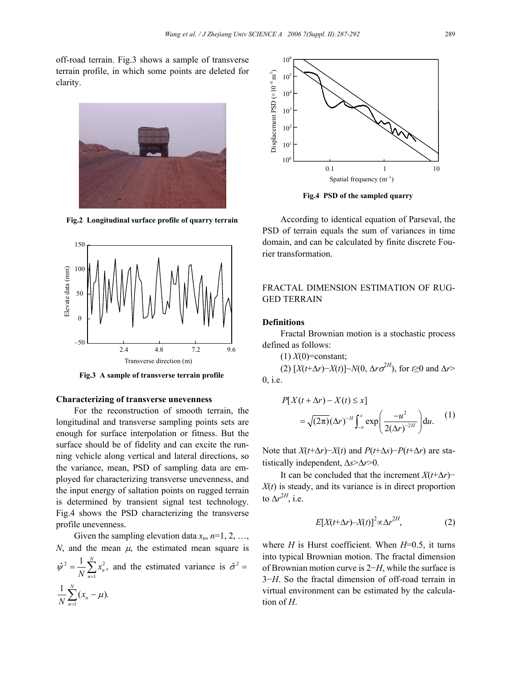off-road terrain. Fig.3 shows a sample of transverse terrain profile, in which some points are deleted for clarity.



**Fig.2 Longitudinal surface profile of quarry terrain** 



**Fig.3 A sample of transverse terrain profile** 

#### **Characterizing of transverse unevenness**

For the reconstruction of smooth terrain, the longitudinal and transverse sampling points sets are enough for surface interpolation or fitness. But the surface should be of fidelity and can excite the running vehicle along vertical and lateral directions, so the variance, mean, PSD of sampling data are employed for characterizing transverse unevenness, and the input energy of saltation points on rugged terrain is determined by transient signal test technology. Fig.4 shows the PSD characterizing the transverse profile unevenness.

Given the sampling elevation data  $x_n$ ,  $n=1, 2, \ldots$ , *N*, and the mean  $\mu$ , the estimated mean square is  $2 =$   $1$   $\nabla$   $\Omega$ 1  $\hat{v}^2 = \frac{1}{N} \sum_{n=1}^{N} x_n^2$  $\sum_{n=1}^{N}$ *x*  $\hat{\psi}^2 = \frac{1}{N} \sum_{n=1}^N x_n^2$ , and the estimated variance is  $\hat{\sigma}^2 =$ 1  $\frac{1}{N} \sum_{n=1}^{N} (x_n - \mu).$  $\frac{1}{N}\sum_{n=1}^{N}(x_n - \mu)$ *n*



**Fig.4 PSD of the sampled quarry** 

According to identical equation of Parseval, the PSD of terrain equals the sum of variances in time domain, and can be calculated by finite discrete Fourier transformation.

# FRACTAL DIMENSION ESTIMATION OF RUG-GED TERRAIN

#### **Definitions**

Fractal Brownian motion is a stochastic process defined as follows:

 $(1) X(0)$ =constant;

(2)  $[X(t+\Delta r)-X(t)]\sim N(0, \Delta r\sigma^{2H})$ , for *t*≥0 and  $\Delta r$ > 0, i.e.

$$
P[X(t + \Delta r) - X(t) \le x]
$$
  
=  $\sqrt{(2\pi)}(\Delta r)^{-H} \int_{-\infty}^{x} \exp\left(\frac{-u^2}{2(\Delta r)^{-2H}}\right) du.$  (1)

Note that  $X(t+\Delta r) - X(t)$  and  $P(t+\Delta s) - P(t+\Delta r)$  are statistically independent, ∆*s*>∆*r*>0.

It can be concluded that the increment *X*(*t*+∆*r*)−  $X(t)$  is steady, and its variance is in direct proportion to  $\Delta r^{2H}$ , i.e.

$$
E[X(t+\Delta r)-X(t)]^2 \propto \Delta r^{2H}, \tag{2}
$$

where  $H$  is Hurst coefficient. When  $H=0.5$ , it turns into typical Brownian motion. The fractal dimension of Brownian motion curve is 2−*H*, while the surface is 3−*H*. So the fractal dimension of off-road terrain in virtual environment can be estimated by the calculation of *H*.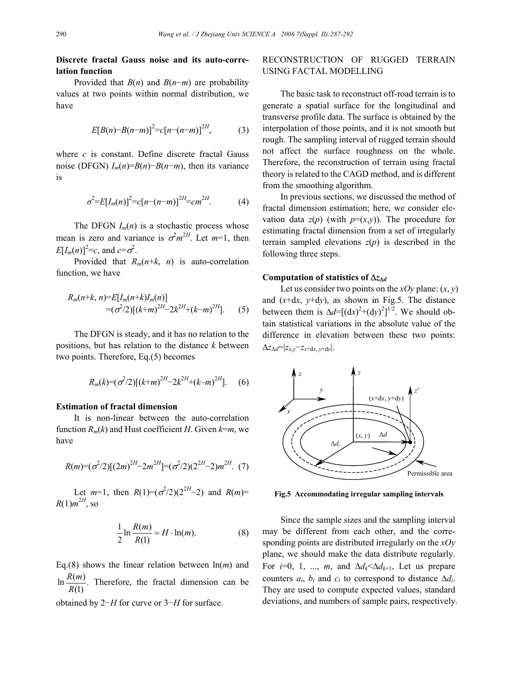### **Discrete fractal Gauss noise and its auto-correlation function**

Provided that *B*(*n*) and *B*(*n*−*m*) are probability values at two points within normal distribution, we have

$$
E[B(n)-B(n-m)]^2 = c[n-(n-m)]^{2H}, \qquad (3)
$$

where *c* is constant. Define discrete fractal Gauss noise (DFGN) *Im*(*n*)=*B*(*n*)−*B*(*n*−*m*), then its variance is

$$
\sigma^2 = E[I_m(n)]^2 = c[n - (n - m)]^{2H} = cm^{2H}.
$$
 (4)

The DFGN  $I_m(n)$  is a stochastic process whose mean is zero and variance is  $\sigma^2 m^{2H}$ . Let  $m=1$ , then  $E[I_m(n)]^2 = c$ , and  $c = \sigma^2$ .

Provided that  $R_m(n+k, n)$  is auto-correlation function, we have

$$
R_m(n+k, n)=E[I_m(n+k)I_m(n)]
$$
  
= $(\sigma^2/2)[(k+m)^{2H}-2k^{2H}+(k-m)^{2H}].$  (5)

The DFGN is steady, and it has no relation to the positions, but has relation to the distance *k* between two points. Therefore, Eq.(5) becomes

$$
R_m(k)=(\sigma^2/2)[(k+m)^{2H}-2k^{2H}+(k-m)^{2H}].
$$
 (6)

### **Estimation of fractal dimension**

It is non-linear between the auto-correlation function  $R_m(k)$  and Hust coefficient *H*. Given  $k=m$ , we have

$$
R(m)=(\sigma^2/2)[(2m)^{2H}-2m^{2H}]=(\sigma^2/2)(2^{2H}-2)m^{2H}.
$$
 (7)

Let  $m=1$ , then  $R(1)=(\sigma^2/2)(2^{2H}-2)$  and  $R(m)=$  $R(1)m^{2H}$ , so

$$
\frac{1}{2}\ln\frac{R(m)}{R(1)} = H \cdot \ln(m). \tag{8}
$$

Eq.(8) shows the linear relation between ln(*m*) and  $\ln \frac{R(m)}{R(m)}$ . (1)  $\frac{R(m)}{R(1)}$ . Therefore, the fractal dimension can be obtained by 2−*H* for curve or 3−*H* for surface.

# RECONSTRUCTION OF RUGGED TERRAIN USING FACTAL MODELLING

The basic task to reconstruct off-road terrain is to generate a spatial surface for the longitudinal and transverse profile data. The surface is obtained by the interpolation of those points, and it is not smooth but rough. The sampling interval of rugged terrain should not affect the surface roughness on the whole. Therefore, the reconstruction of terrain using fractal theory is related to the CAGD method, and is different from the smoothing algorithm.

In previous sections, we discussed the method of fractal dimension estimation; here, we consider elevation data  $z(p)$  (with  $p=(x,y)$ ). The procedure for estimating fractal dimension from a set of irregularly terrain sampled elevations  $z(p)$  is described in the following three steps.

#### **Computation of statistics of** ∆*z*<sup>∆</sup>*<sup>d</sup>*

Let us consider two points on the *xOy* plane:  $(x, y)$ and (*x*+d*x*, *y*+d*y*), as shown in Fig.5. The distance between them is  $\Delta d = [(dx)^2 + (dy)^2]^{1/2}$ . We should obtain statistical variations in the absolute value of the difference in elevation between these two points: ∆*z*∆*d*=|*zx*,*y*−*zx*+d*x*, *y*+d*y*|.



**Fig.5 Accommodating irregular sampling intervals**

Since the sample sizes and the sampling interval may be different from each other, and the corresponding points are distributed irregularly on the *xOy* plane, we should make the data distribute regularly. For *i*=0, 1, ..., *m*, and  $\Delta d_k < \Delta d_{k+1}$ , Let us prepare counters  $a_i$ ,  $b_i$  and  $c_i$  to correspond to distance  $\Delta d_i$ . They are used to compute expected values, standard deviations, and numbers of sample pairs, respectively.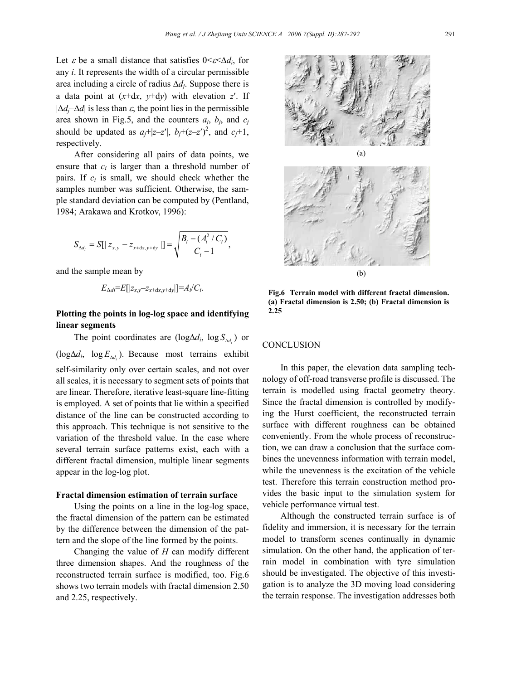Let  $\varepsilon$  be a small distance that satisfies  $0 \leq \varepsilon \leq \Delta d_i$ , for any *i*. It represents the width of a circular permissible area including a circle of radius ∆*dj*. Suppose there is a data point at  $(x+dx, y+dy)$  with elevation *z'*. If  $|\Delta d_{\tau}$ — $\Delta d$  is less than  $\varepsilon$ , the point lies in the permissible area shown in Fig.5, and the counters  $a_j$ ,  $b_j$ , and  $c_j$ should be updated as  $a_j$ +|z-z'|,  $b_j$ +(z-z')<sup>2</sup>, and  $c_j$ +1, respectively.

After considering all pairs of data points, we ensure that  $c_i$  is larger than a threshold number of pairs. If  $c_i$  is small, we should check whether the samples number was sufficient. Otherwise, the sample standard deviation can be computed by (Pentland, 1984; Arakawa and Krotkov, 1996):

$$
S_{\Delta d_i} = S[|z_{x,y} - z_{x+dx,y+dy}|] = \sqrt{\frac{B_i - (A_i^2 / C_i)}{C_i - 1}},
$$

and the sample mean by

$$
E_{\Delta di} = E[|z_{x,y} - z_{x+\mathrm{d}x,y+\mathrm{d}y}|] = A_i/C_i.
$$

## **Plotting the points in log-log space and identifying linear segments**

The point coordinates are (log $\Delta d_i$ , log  $S_{\Delta d_i}$ ) or (log∆*di*, log ). *<sup>i</sup> E*<sup>∆</sup>*<sup>d</sup>* Because most terrains exhibit self-similarity only over certain scales, and not over all scales, it is necessary to segment sets of points that are linear. Therefore, iterative least-square line-fitting is employed. A set of points that lie within a specified distance of the line can be constructed according to this approach. This technique is not sensitive to the variation of the threshold value. In the case where several terrain surface patterns exist, each with a different fractal dimension, multiple linear segments appear in the log-log plot.

#### **Fractal dimension estimation of terrain surface**

Using the points on a line in the log-log space, the fractal dimension of the pattern can be estimated by the difference between the dimension of the pattern and the slope of the line formed by the points.

Changing the value of *H* can modify different three dimension shapes. And the roughness of the reconstructed terrain surface is modified, too. Fig.6 shows two terrain models with fractal dimension 2.50 and 2.25, respectively.



**Fig.6 Terrain model with different fractal dimension. (a) Fractal dimension is 2.50; (b) Fractal dimension is 2.25** 

# **CONCLUSION**

In this paper, the elevation data sampling technology of off-road transverse profile is discussed. The terrain is modelled using fractal geometry theory. Since the fractal dimension is controlled by modifying the Hurst coefficient, the reconstructed terrain surface with different roughness can be obtained conveniently. From the whole process of reconstruction, we can draw a conclusion that the surface combines the unevenness information with terrain model, while the unevenness is the excitation of the vehicle test. Therefore this terrain construction method provides the basic input to the simulation system for vehicle performance virtual test.

Although the constructed terrain surface is of fidelity and immersion, it is necessary for the terrain model to transform scenes continually in dynamic simulation. On the other hand, the application of terrain model in combination with tyre simulation should be investigated. The objective of this investigation is to analyze the 3D moving load considering the terrain response. The investigation addresses both